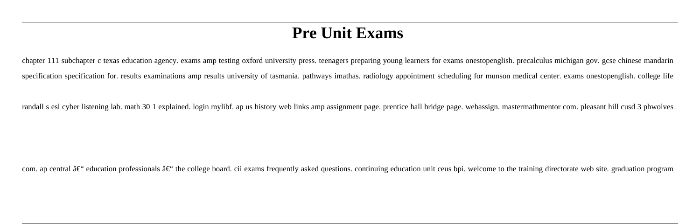# **Pre Unit Exams**

chapter 111 subchapter c texas education agency. exams amp testing oxford university press. teenagers preparing young learners for exams onestopenglish. precalculus michigan gov. gcse chinese mandarin specification specification for. results examinations amp results university of tasmania. pathways imathas. radiology appointment scheduling for munson medical center. exams onestopenglish. college life

randall s esl cyber listening lab. math 30 1 explained. login mylibf. ap us history web links amp assignment page. prentice hall bridge page. webassign. mastermathmentor com. pleasant hill cusd 3 phwolves

com. ap central  $\hat{a}\in\hat{c}$  ducation professionals  $\hat{a}\in\hat{c}$  the college board. cii exams frequently asked questions. continuing education unit ceus bpi. welcome to the training directorate web site. graduation prog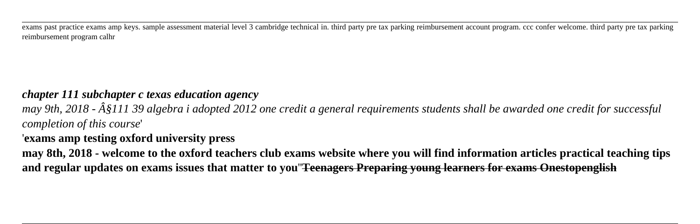exams past practice exams amp keys. sample assessment material level 3 cambridge technical in. third party pre tax parking reimbursement account program. ccc confer welcome. third party pre tax parking reimbursement program calhr

#### *chapter 111 subchapter c texas education agency*

*may 9th, 2018 - §111 39 algebra i adopted 2012 one credit a general requirements students shall be awarded one credit for successful completion of this course*'

#### '**exams amp testing oxford university press**

**may 8th, 2018 - welcome to the oxford teachers club exams website where you will find information articles practical teaching tips and regular updates on exams issues that matter to you**''**Teenagers Preparing young learners for exams Onestopenglish**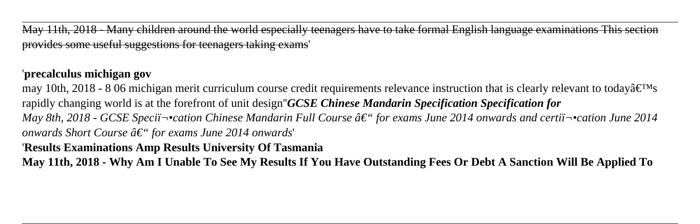May 11th, 2018 - Many children around the world especially teenagers have to take formal English language examinations This section provides some useful suggestions for teenagers taking exams'

## '**precalculus michigan gov**

may 10th, 2018 - 8 06 michigan merit curriculum course credit requirements relevance instruction that is clearly relevant to today $\hat{\mathbf{a}} \in \mathbb{N}$ s rapidly changing world is at the forefront of unit design''*GCSE Chinese Mandarin Specification Specification for May 8th, 2018 - GCSE Specii* $\neg$ cation Chinese Mandarin Full Course â€" for exams June 2014 onwards and certii $\neg$ cation June 2014 *onwards Short Course â€*" for exams June 2014 onwards'

'**Results Examinations Amp Results University Of Tasmania**

**May 11th, 2018 - Why Am I Unable To See My Results If You Have Outstanding Fees Or Debt A Sanction Will Be Applied To**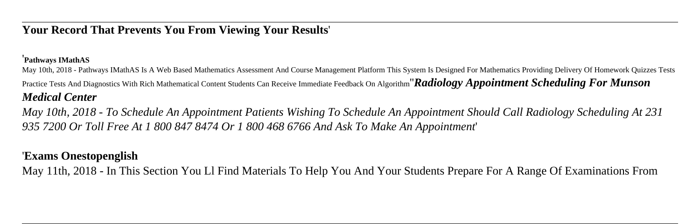### **Your Record That Prevents You From Viewing Your Results**'

#### '**Pathways IMathAS**

May 10th, 2018 - Pathways IMathAS Is A Web Based Mathematics Assessment And Course Management Platform This System Is Designed For Mathematics Providing Delivery Of Homework Quizzes Tests Practice Tests And Diagnostics With Rich Mathematical Content Students Can Receive Immediate Feedback On Algorithm''*Radiology Appointment Scheduling For Munson Medical Center*

*May 10th, 2018 - To Schedule An Appointment Patients Wishing To Schedule An Appointment Should Call Radiology Scheduling At 231 935 7200 Or Toll Free At 1 800 847 8474 Or 1 800 468 6766 And Ask To Make An Appointment*'

#### '**Exams Onestopenglish**

May 11th, 2018 - In This Section You Ll Find Materials To Help You And Your Students Prepare For A Range Of Examinations From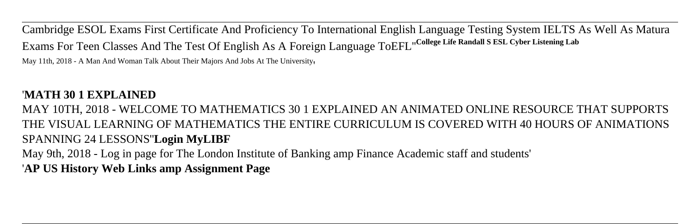Cambridge ESOL Exams First Certificate And Proficiency To International English Language Testing System IELTS As Well As Matura Exams For Teen Classes And The Test Of English As A Foreign Language ToEFL''**College Life Randall S ESL Cyber Listening Lab**

May 11th, 2018 - A Man And Woman Talk About Their Majors And Jobs At The University,

### '**MATH 30 1 EXPLAINED**

MAY 10TH, 2018 - WELCOME TO MATHEMATICS 30 1 EXPLAINED AN ANIMATED ONLINE RESOURCE THAT SUPPORTS THE VISUAL LEARNING OF MATHEMATICS THE ENTIRE CURRICULUM IS COVERED WITH 40 HOURS OF ANIMATIONS SPANNING 24 LESSONS''**Login MyLIBF**

May 9th, 2018 - Log in page for The London Institute of Banking amp Finance Academic staff and students' '**AP US History Web Links amp Assignment Page**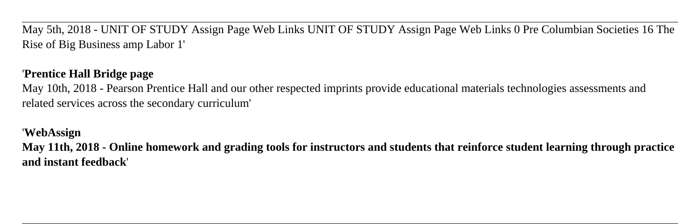May 5th, 2018 - UNIT OF STUDY Assign Page Web Links UNIT OF STUDY Assign Page Web Links 0 Pre Columbian Societies 16 The Rise of Big Business amp Labor 1'

# '**Prentice Hall Bridge page**

May 10th, 2018 - Pearson Prentice Hall and our other respected imprints provide educational materials technologies assessments and related services across the secondary curriculum'

'**WebAssign**

**May 11th, 2018 - Online homework and grading tools for instructors and students that reinforce student learning through practice and instant feedback**'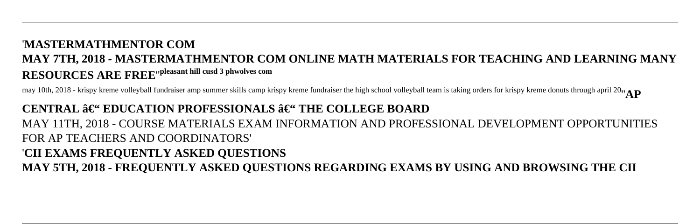# CENTRAL – EDUCATION PROFESSIONALS – THE COLLEGE BOARD MAY 11TH, 2018 - COURSE MATERIALS EXAM INFORMATION AND PROFESSIONAL DEVELOPMENT OPPORTUNITIES FOR AP TEACHERS AND COORDINATORS' '**CII EXAMS FREQUENTLY ASKED QUESTIONS MAY 5TH, 2018 - FREQUENTLY ASKED QUESTIONS REGARDING EXAMS BY USING AND BROWSING THE CII**

may 10th, 2018 - krispy kreme volleyball fundraiser amp summer skills camp krispy kreme fundraiser the high school volleyball team is taking orders for krispy kreme donuts through april 20''**AP**

# '**MASTERMATHMENTOR COM MAY 7TH, 2018 - MASTERMATHMENTOR COM ONLINE MATH MATERIALS FOR TEACHING AND LEARNING MANY RESOURCES ARE FREE**''**pleasant hill cusd 3 phwolves com**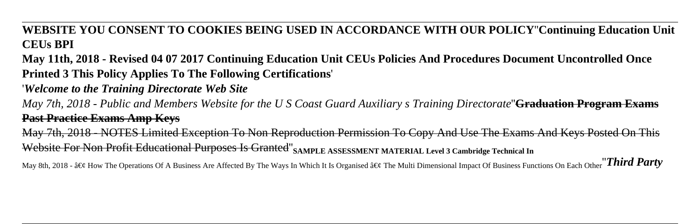**WEBSITE YOU CONSENT TO COOKIES BEING USED IN ACCORDANCE WITH OUR POLICY**''**Continuing Education Unit CEUs BPI**

**May 11th, 2018 - Revised 04 07 2017 Continuing Education Unit CEUs Policies And Procedures Document Uncontrolled Once Printed 3 This Policy Applies To The Following Certifications**'

'*Welcome to the Training Directorate Web Site*

*May 7th, 2018 - Public and Members Website for the U S Coast Guard Auxiliary s Training Directorate*''**Graduation Program Exams Past Practice Exams Amp Keys**

May 7th, 2018 - NOTES Limited Exception To Non Reproduction Permission To Copy And Use The Exams And Keys Posted On This Website For Non Profit Educational Purposes Is Granted<sup>"</sup>SAMPLE ASSESSMENT MATERIAL Level 3 Cambridge Technical In

May 8th, 2018 - • How The Operations Of A Business Are Affected By The Ways In Which It Is Organised • The Multi Dimensional Impact Of Business Functions On Each Other<sup>'</sup>*Third Party*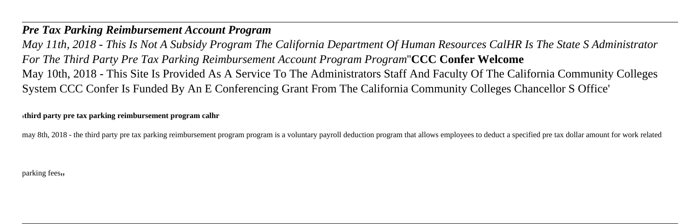#### *Pre Tax Parking Reimbursement Account Program*

*May 11th, 2018 - This Is Not A Subsidy Program The California Department Of Human Resources CalHR Is The State S Administrator For The Third Party Pre Tax Parking Reimbursement Account Program Program*''**CCC Confer Welcome** May 10th, 2018 - This Site Is Provided As A Service To The Administrators Staff And Faculty Of The California Community Colleges System CCC Confer Is Funded By An E Conferencing Grant From The California Community Colleges Chancellor S Office'

'**third party pre tax parking reimbursement program calhr**

may 8th, 2018 - the third party pre tax parking reimbursement program program is a voluntary payroll deduction program that allows employees to deduct a specified pre tax dollar amount for work related

parking fees<sub>!</sub>